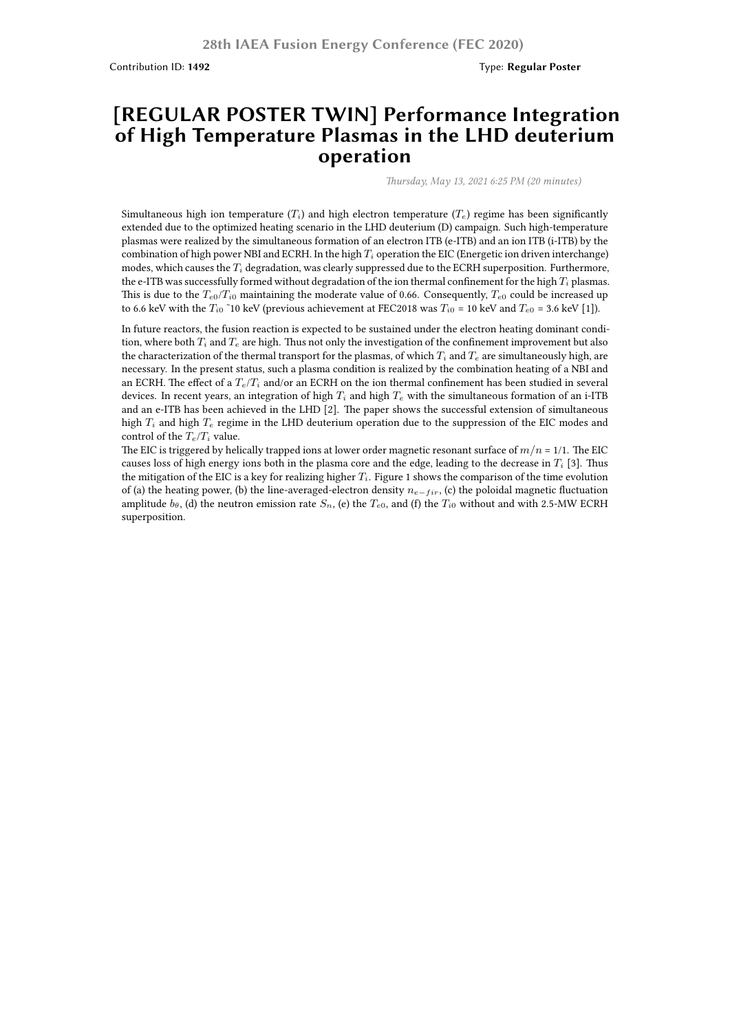Contribution ID: **1492** Type: **Regular Poster**

## **[REGULAR POSTER TWIN] Performance Integration of High Temperature Plasmas in the LHD deuterium operation**

*Thursday, May 13, 2021 6:25 PM (20 minutes)*

Simultaneous high ion temperature  $(T_i)$  and high electron temperature  $(T_e)$  regime has been significantly extended due to the optimized heating scenario in the LHD deuterium (D) campaign. Such high-temperature plasmas were realized by the simultaneous formation of an electron ITB (e-ITB) and an ion ITB (i-ITB) by the combination of high power NBI and ECRH. In the high *T<sup>i</sup>* operation the EIC (Energetic ion driven interchange) modes, which causes the *T<sup>i</sup>* degradation, was clearly suppressed due to the ECRH superposition. Furthermore, the e-ITB was successfully formed without degradation of the ion thermal confinement for the high *T<sup>i</sup>* plasmas. This is due to the  $T_{e0}/T_{i0}$  maintaining the moderate value of 0.66. Consequently,  $T_{e0}$  could be increased up to 6.6 keV with the  $T_i$ <sup>0</sup> ~10 keV (previous achievement at FEC2018 was  $T_i$ <sup>0</sup> = 10 keV and  $T_{e0}$  = 3.6 keV [1]).

In future reactors, the fusion reaction is expected to be sustained under the electron heating dominant condition, where both *T<sup>i</sup>* and *T<sup>e</sup>* are high. Thus not only the investigation of the confinement improvement but also the characterization of the thermal transport for the plasmas, of which  $T_i$  and  $T_e$  are simultaneously high, are necessary. In the present status, such a plasma condition is realized by the combination heating of a NBI and an ECRH. The effect of a *Te*/*T<sup>i</sup>* and/or an ECRH on the ion thermal confinement has been studied in several devices. In recent years, an integration of high  $T_i$  and high  $T_e$  with the simultaneous formation of an i-ITB and an e-ITB has been achieved in the LHD [2]. The paper shows the successful extension of simultaneous high *T<sup>i</sup>* and high *T<sup>e</sup>* regime in the LHD deuterium operation due to the suppression of the EIC modes and control of the *Te*/*T<sup>i</sup>* value.

The EIC is triggered by helically trapped ions at lower order magnetic resonant surface of  $m/n = 1/1$ . The EIC causes loss of high energy ions both in the plasma core and the edge, leading to the decrease in *T<sup>i</sup>* [3]. Thus the mitigation of the EIC is a key for realizing higher *Ti*. Figure 1 shows the comparison of the time evolution of (a) the heating power, (b) the line-averaged-electron density *n<sup>e</sup>−f ir*, (c) the poloidal magnetic fluctuation amplitude  $b_\theta$ , (d) the neutron emission rate  $S_n$ , (e) the  $T_{e0}$ , and (f) the  $T_i$ <sup>0</sup> without and with 2.5-MW ECRH superposition.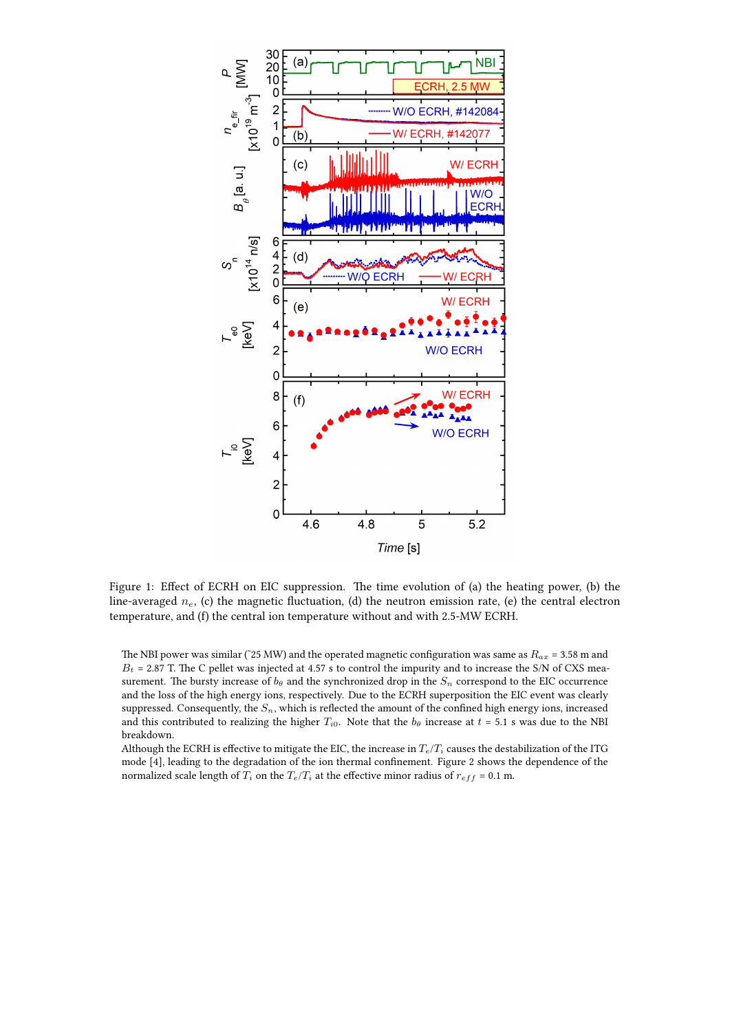

Figure 1: Effect of ECRH on EIC suppression. The time evolution of (a) the heating power, (b) the line-averaged *ne*, (c) the magnetic fluctuation, (d) the neutron emission rate, (e) the central electron temperature, and (f) the central ion temperature without and with 2.5-MW ECRH.

The NBI power was similar (~25 MW) and the operated magnetic configuration was same as  $R_{ax}$  = 3.58 m and  $B_t$  = 2.87 T. The C pellet was injected at 4.57 s to control the impurity and to increase the S/N of CXS measurement. The bursty increase of  $b_\theta$  and the synchronized drop in the  $S_n$  correspond to the EIC occurrence and the loss of the high energy ions, respectively. Due to the ECRH superposition the EIC event was clearly suppressed. Consequently, the  $S_n$ , which is reflected the amount of the confined high energy ions, increased and this contributed to realizing the higher  $T_{i0}$ . Note that the  $b_{\theta}$  increase at  $t = 5.1$  s was due to the NBI breakdown.

Although the ECRH is effective to mitigate the EIC, the increase in  $T_e/T_i$  causes the destabilization of the ITG mode [4], leading to the degradation of the ion thermal confinement. Figure 2 shows the dependence of the normalized scale length of  $T_i$  on the  $T_e/T_i$  at the effective minor radius of  $r_{eff}$  = 0.1 m.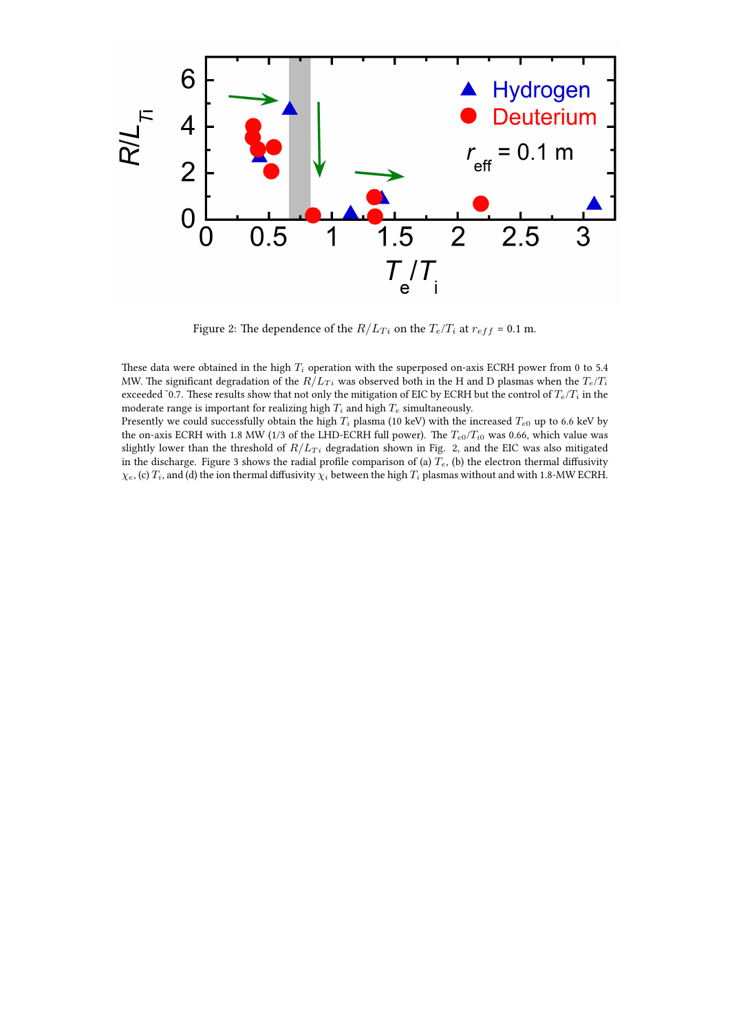

Figure 2: The dependence of the  $R/L_{Ti}$  on the  $T_e/T_i$  at  $r_{eff} = 0.1$  m.

These data were obtained in the high  $T_i$  operation with the superposed on-axis ECRH power from 0 to 5.4 MW. The significant degradation of the  $R/L_T$  was observed both in the H and D plasmas when the  $T_e/T_i$ exceeded ~0.7. These results show that not only the mitigation of EIC by ECRH but the control of  $T_e/T_i$  in the moderate range is important for realizing high  $T_i$  and high  $T_e$  simultaneously.

Presently we could successfully obtain the high  $T_i$  plasma (10 keV) with the increased  $T_{e0}$  up to 6.6 keV by the on-axis ECRH with 1.8 MW (1/3 of the LHD-ECRH full power). The *T<sup>e</sup>*0/*T<sup>i</sup>*<sup>0</sup> was 0.66, which value was slightly lower than the threshold of  $R/L_{Ti}$  degradation shown in Fig. 2, and the EIC was also mitigated in the discharge. Figure 3 shows the radial profile comparison of (a) *Te*, (b) the electron thermal diffusivity  $\chi_e$ , (c)  $T_i$ , and (d) the ion thermal diffusivity  $\chi_i$  between the high  $T_i$  plasmas without and with 1.8-MW ECRH.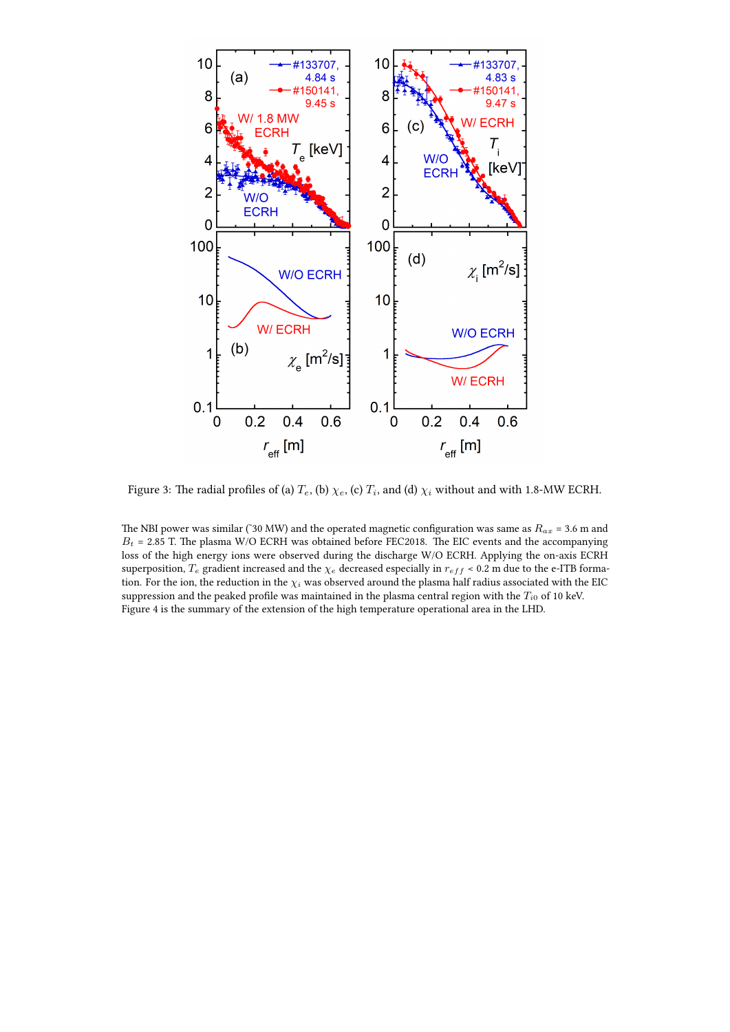

Figure 3: The radial profiles of (a)  $T_e$ , (b)  $\chi_e$ , (c)  $T_i$ , and (d)  $\chi_i$  without and with 1.8-MW ECRH.

The NBI power was similar (˜30 MW) and the operated magnetic configuration was same as *Rax* = 3.6 m and  $B_t$  = 2.85 T. The plasma W/O ECRH was obtained before FEC2018. The EIC events and the accompanying loss of the high energy ions were observed during the discharge W/O ECRH. Applying the on-axis ECRH superposition,  $T_e$  gradient increased and the  $\chi_e$  decreased especially in  $r_{eff}$  < 0.2 m due to the e-ITB formation. For the ion, the reduction in the  $\chi_i$  was observed around the plasma half radius associated with the EIC suppression and the peaked profile was maintained in the plasma central region with the  $T_{i0}$  of 10 keV. Figure 4 is the summary of the extension of the high temperature operational area in the LHD.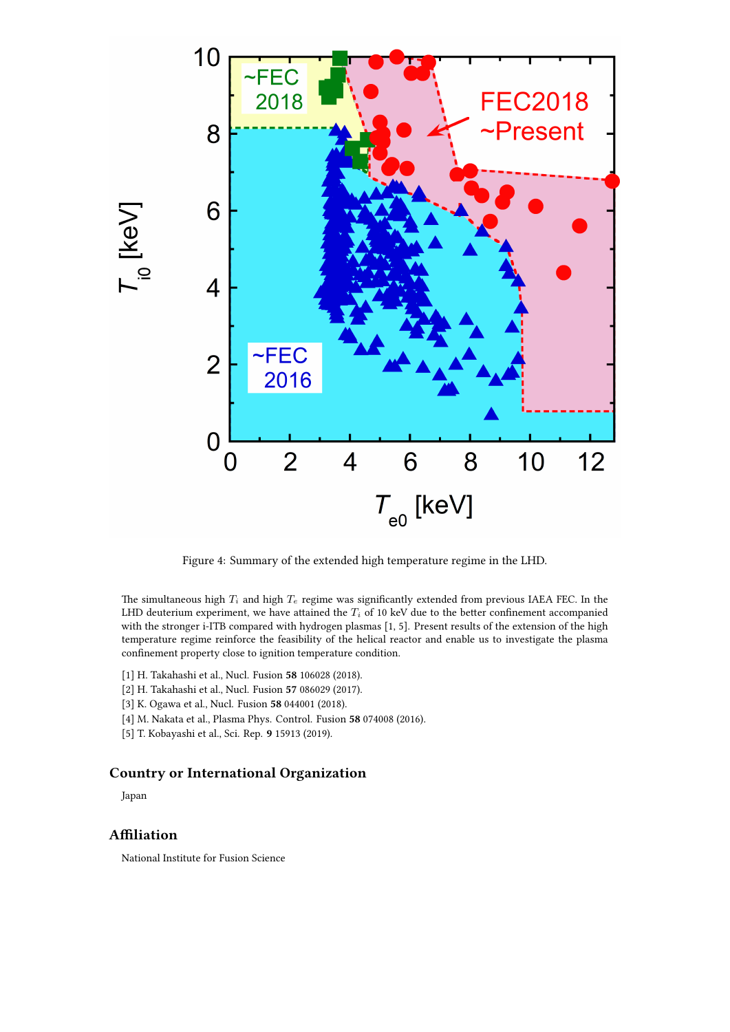

Figure 4: Summary of the extended high temperature regime in the LHD.

The simultaneous high  $T_i$  and high  $T_e$  regime was significantly extended from previous IAEA FEC. In the LHD deuterium experiment, we have attained the *T<sup>i</sup>* of 10 keV due to the better confinement accompanied with the stronger i-ITB compared with hydrogen plasmas [1, 5]. Present results of the extension of the high temperature regime reinforce the feasibility of the helical reactor and enable us to investigate the plasma confinement property close to ignition temperature condition.

- [1] H. Takahashi et al., Nucl. Fusion **58** 106028 (2018).
- [2] H. Takahashi et al., Nucl. Fusion **57** 086029 (2017).
- [3] K. Ogawa et al., Nucl. Fusion **58** 044001 (2018).
- [4] M. Nakata et al., Plasma Phys. Control. Fusion **58** 074008 (2016).
- [5] T. Kobayashi et al., Sci. Rep. **9** 15913 (2019).

## **Country or International Organization**

Japan

## **Affiliation**

National Institute for Fusion Science